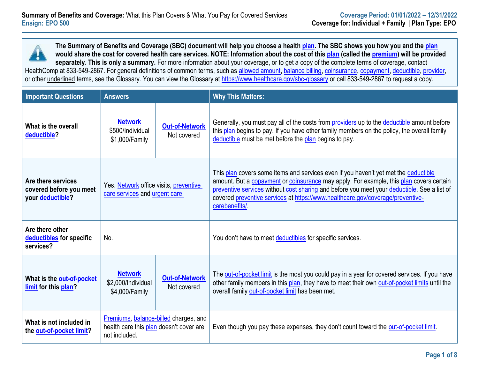**The Summary of Benefits and Coverage (SBC) document will help you choose a healt[h plan.](https://www.healthcare.gov/sbc-glossary/#plan) The SBC shows you how you and the [plan](https://www.healthcare.gov/sbc-glossary/#plan) would share the cost for covered health care services. NOTE: Information about the cost of this [plan](https://www.healthcare.gov/sbc-glossary/#plan) (called the [premium\)](https://www.healthcare.gov/sbc-glossary/#premium) will be provided separately. This is only a summary.** For more information about your coverage, or to get a copy of the complete terms of coverage, contact HealthComp at 833-549-2867. For general definitions of common terms, such as [allowed amount,](https://www.healthcare.gov/sbc-glossary/#allowed-amount) [balance billing,](https://www.healthcare.gov/sbc-glossary/#balance-billing) [coinsurance,](https://www.healthcare.gov/sbc-glossary/#coinsurance) [copayment,](https://www.healthcare.gov/sbc-glossary/#copayment) [deductible,](https://www.healthcare.gov/sbc-glossary/#deductible) [provider,](https://www.healthcare.gov/sbc-glossary/#provider) or other underlined terms, see the Glossary. You can view the Glossary at<https://www.healthcare.gov/sbc-glossary> or call 833-549-2867 to request a copy.

| <b>Important Questions</b>                                        | <b>Answers</b>                                                                                    |  | <b>Why This Matters:</b>                                                                                                                                                                                                                                                                                                                                                         |  |
|-------------------------------------------------------------------|---------------------------------------------------------------------------------------------------|--|----------------------------------------------------------------------------------------------------------------------------------------------------------------------------------------------------------------------------------------------------------------------------------------------------------------------------------------------------------------------------------|--|
| What is the overall<br>deductible?                                | <b>Network</b><br><b>Out-of-Network</b><br>\$500/Individual<br>Not covered<br>\$1,000/Family      |  | Generally, you must pay all of the costs from <b>providers</b> up to the deductible amount before<br>this plan begins to pay. If you have other family members on the policy, the overall family<br>deductible must be met before the plan begins to pay.                                                                                                                        |  |
| Are there services<br>covered before you meet<br>your deductible? | Yes. Network office visits, preventive<br>care services and urgent care.                          |  | This plan covers some items and services even if you haven't yet met the deductible<br>amount. But a copayment or coinsurance may apply. For example, this plan covers certain<br>preventive services without cost sharing and before you meet your deductible. See a list of<br>covered preventive services at https://www.healthcare.gov/coverage/preventive-<br>carebenefits/ |  |
| Are there other<br>deductibles for specific<br>services?          | No.                                                                                               |  | You don't have to meet deductibles for specific services.                                                                                                                                                                                                                                                                                                                        |  |
| What is the out-of-pocket<br>limit for this plan?                 | <b>Network</b><br><b>Out-of-Network</b><br>\$2,000/Individual<br>Not covered<br>\$4,000/Family    |  | The out-of-pocket limit is the most you could pay in a year for covered services. If you have<br>other family members in this plan, they have to meet their own out-of-pocket limits until the<br>overall family out-of-pocket limit has been met.                                                                                                                               |  |
| What is not included in<br>the out-of-pocket limit?               | Premiums, balance-billed charges, and<br>health care this plan doesn't cover are<br>not included. |  | Even though you pay these expenses, they don't count toward the out-of-pocket limit.                                                                                                                                                                                                                                                                                             |  |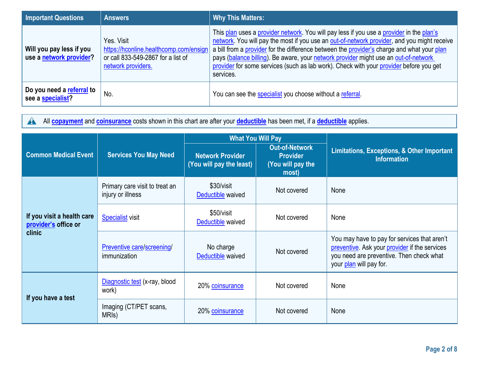| <b>Important Questions</b>                          | <b>Answers</b>                                                                                                   | <b>Why This Matters:</b>                                                                                                                                                                                                                                                                                                                                                                                                                                                            |  |
|-----------------------------------------------------|------------------------------------------------------------------------------------------------------------------|-------------------------------------------------------------------------------------------------------------------------------------------------------------------------------------------------------------------------------------------------------------------------------------------------------------------------------------------------------------------------------------------------------------------------------------------------------------------------------------|--|
| Will you pay less if you<br>use a network provider? | Yes. Visit<br>https://hconline.healthcomp.com/ensign<br>or call 833-549-2867 for a list of<br>network providers. | This plan uses a provider network. You will pay less if you use a provider in the plan's<br>network. You will pay the most if you use an out-of-network provider, and you might receive<br>a bill from a provider for the difference between the provider's charge and what your plan<br>pays (balance billing). Be aware, your network provider might use an out-of-network<br>provider for some services (such as lab work). Check with your provider before you get<br>services. |  |
| Do you need a referral to<br>see a specialist?      | No.                                                                                                              | You can see the specialist you choose without a referral.                                                                                                                                                                                                                                                                                                                                                                                                                           |  |

All **[copayment](https://www.healthcare.gov/sbc-glossary/#copayment)** and **[coinsurance](https://www.healthcare.gov/sbc-glossary/#coinsurance)** costs shown in this chart are after your **[deductible](https://www.healthcare.gov/sbc-glossary/#deductible)** has been met, if a **[deductible](https://www.healthcare.gov/sbc-glossary/#deductible)** applies.  $\triangle$ 

|                                                              |                                                     | <b>What You Will Pay</b>                            |                                                                        |                                                                                                                                                                      |
|--------------------------------------------------------------|-----------------------------------------------------|-----------------------------------------------------|------------------------------------------------------------------------|----------------------------------------------------------------------------------------------------------------------------------------------------------------------|
| <b>Common Medical Event</b>                                  | <b>Services You May Need</b>                        | <b>Network Provider</b><br>(You will pay the least) | <b>Out-of-Network</b><br><b>Provider</b><br>(You will pay the<br>most) | <b>Limitations, Exceptions, &amp; Other Important</b><br><b>Information</b>                                                                                          |
| If you visit a health care<br>provider's office or<br>clinic | Primary care visit to treat an<br>injury or illness | \$30/visit<br>Deductible waived                     | Not covered                                                            | None                                                                                                                                                                 |
|                                                              | <b>Specialist visit</b>                             | \$50/visit<br>Deductible waived                     | Not covered                                                            | None                                                                                                                                                                 |
|                                                              | <b>Preventive care/screening/</b><br>immunization   | No charge<br>Deductible waived                      | Not covered                                                            | You may have to pay for services that aren't<br>preventive. Ask your provider if the services<br>you need are preventive. Then check what<br>your plan will pay for. |
| If you have a test                                           | Diagnostic test (x-ray, blood<br>work)              | 20% coinsurance                                     | Not covered                                                            | None                                                                                                                                                                 |
|                                                              | Imaging (CT/PET scans,<br>MRI <sub>s</sub> )        | 20% coinsurance                                     | Not covered                                                            | None                                                                                                                                                                 |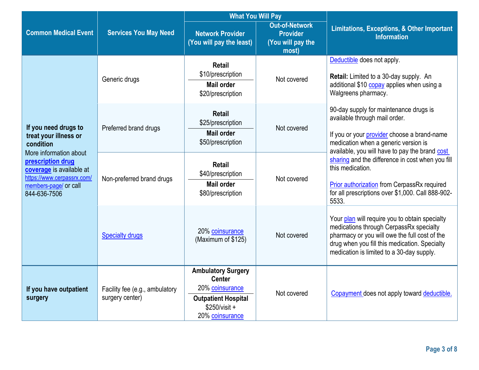|                                                                                                                                                                                                              |                                                   | <b>What You Will Pay</b>                                                                                                         |                                                                        |                                                                                                                                                                                                                                          |
|--------------------------------------------------------------------------------------------------------------------------------------------------------------------------------------------------------------|---------------------------------------------------|----------------------------------------------------------------------------------------------------------------------------------|------------------------------------------------------------------------|------------------------------------------------------------------------------------------------------------------------------------------------------------------------------------------------------------------------------------------|
| <b>Common Medical Event</b>                                                                                                                                                                                  | <b>Services You May Need</b>                      | <b>Network Provider</b><br>(You will pay the least)                                                                              | <b>Out-of-Network</b><br><b>Provider</b><br>(You will pay the<br>most) | <b>Limitations, Exceptions, &amp; Other Important</b><br><b>Information</b>                                                                                                                                                              |
| If you need drugs to<br>treat your illness or<br>condition<br>More information about<br>prescription drug<br>coverage is available at<br>https://www.cerpassrx.com/<br>members-page/ or call<br>844-636-7506 | Generic drugs                                     | <b>Retail</b><br>\$10/prescription<br><b>Mail order</b><br>\$20/prescription                                                     | Not covered                                                            | Deductible does not apply.<br>Retail: Limited to a 30-day supply. An<br>additional \$10 copay applies when using a<br>Walgreens pharmacy.                                                                                                |
|                                                                                                                                                                                                              | Preferred brand drugs                             | <b>Retail</b><br>\$25/prescription<br><b>Mail order</b><br>\$50/prescription                                                     | Not covered                                                            | 90-day supply for maintenance drugs is<br>available through mail order.<br>If you or your provider choose a brand-name<br>medication when a generic version is<br>available, you will have to pay the brand cost                         |
|                                                                                                                                                                                                              | Non-preferred brand drugs                         | <b>Retail</b><br>\$40/prescription<br><b>Mail order</b><br>\$80/prescription                                                     | Not covered                                                            | sharing and the difference in cost when you fill<br>this medication.<br>Prior authorization from CerpassRx required<br>for all prescriptions over \$1,000. Call 888-902-<br>5533.                                                        |
|                                                                                                                                                                                                              | <b>Specialty drugs</b>                            | 20% coinsurance<br>(Maximum of \$125)                                                                                            | Not covered                                                            | Your plan will require you to obtain specialty<br>medications through CerpassRx specialty<br>pharmacy or you will owe the full cost of the<br>drug when you fill this medication. Specialty<br>medication is limited to a 30-day supply. |
| If you have outpatient<br>surgery                                                                                                                                                                            | Facility fee (e.g., ambulatory<br>surgery center) | <b>Ambulatory Surgery</b><br><b>Center</b><br>20% coinsurance<br><b>Outpatient Hospital</b><br>$$250/visit +$<br>20% coinsurance | Not covered                                                            | Copayment does not apply toward deductible.                                                                                                                                                                                              |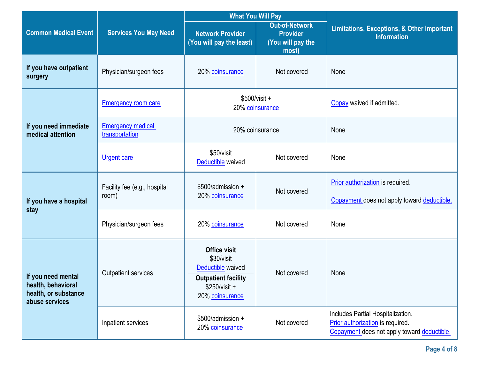|                                                                                    |                                            | <b>What You Will Pay</b>                                                                                                  |                                                                        |                                                                                                                      |
|------------------------------------------------------------------------------------|--------------------------------------------|---------------------------------------------------------------------------------------------------------------------------|------------------------------------------------------------------------|----------------------------------------------------------------------------------------------------------------------|
| <b>Common Medical Event</b>                                                        | <b>Services You May Need</b>               |                                                                                                                           | <b>Out-of-Network</b><br><b>Provider</b><br>(You will pay the<br>most) | <b>Limitations, Exceptions, &amp; Other Important</b><br><b>Information</b>                                          |
| If you have outpatient<br>surgery                                                  | Physician/surgeon fees                     | 20% coinsurance                                                                                                           | Not covered                                                            | None                                                                                                                 |
|                                                                                    | <b>Emergency room care</b>                 | 20% coinsurance                                                                                                           | $$500/visit +$                                                         | Copay waived if admitted.                                                                                            |
| If you need immediate<br>medical attention                                         | <b>Emergency medical</b><br>transportation | 20% coinsurance                                                                                                           |                                                                        | None                                                                                                                 |
|                                                                                    | <b>Urgent care</b>                         | \$50/visit<br>Deductible waived                                                                                           | Not covered                                                            | None                                                                                                                 |
| If you have a hospital<br>stay                                                     | Facility fee (e.g., hospital<br>room)      | \$500/admission +<br>20% coinsurance                                                                                      | Not covered                                                            | Prior authorization is required.<br>Copayment does not apply toward deductible.                                      |
|                                                                                    | Physician/surgeon fees                     | 20% coinsurance                                                                                                           | Not covered                                                            | None                                                                                                                 |
| If you need mental<br>health, behavioral<br>health, or substance<br>abuse services | <b>Outpatient services</b>                 | <b>Office visit</b><br>\$30/visit<br>Deductible waived<br><b>Outpatient facility</b><br>$$250/visit +$<br>20% coinsurance | Not covered                                                            | None                                                                                                                 |
|                                                                                    | Inpatient services                         | \$500/admission +<br>20% coinsurance                                                                                      | Not covered                                                            | Includes Partial Hospitalization.<br>Prior authorization is required.<br>Copayment does not apply toward deductible. |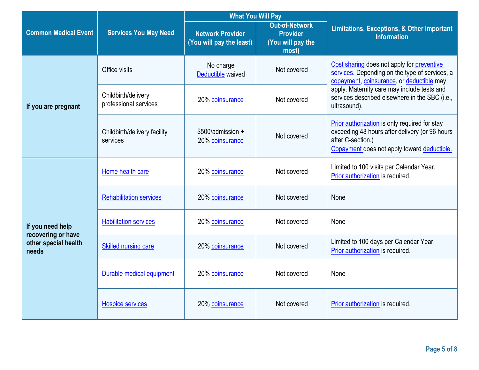|                                                                         |                                              | <b>What You Will Pay</b>                            |                                                                        |                                                                                                                                                                     |
|-------------------------------------------------------------------------|----------------------------------------------|-----------------------------------------------------|------------------------------------------------------------------------|---------------------------------------------------------------------------------------------------------------------------------------------------------------------|
| <b>Common Medical Event</b><br><b>Services You May Need</b>             |                                              | <b>Network Provider</b><br>(You will pay the least) | <b>Out-of-Network</b><br><b>Provider</b><br>(You will pay the<br>most) | <b>Limitations, Exceptions, &amp; Other Important</b><br><b>Information</b>                                                                                         |
|                                                                         | Office visits                                | No charge<br>Deductible waived                      | Not covered                                                            | Cost sharing does not apply for preventive<br>services. Depending on the type of services, a<br>copayment, coinsurance, or deductible may                           |
| If you are pregnant                                                     | Childbirth/delivery<br>professional services | 20% coinsurance                                     | Not covered                                                            | apply. Maternity care may include tests and<br>services described elsewhere in the SBC (i.e.,<br>ultrasound).                                                       |
|                                                                         | Childbirth/delivery facility<br>services     | \$500/admission +<br>20% coinsurance                | Not covered                                                            | Prior authorization is only required for stay<br>exceeding 48 hours after delivery (or 96 hours<br>after C-section.)<br>Copayment does not apply toward deductible. |
| If you need help<br>recovering or have<br>other special health<br>needs | Home health care                             | 20% coinsurance                                     | Not covered                                                            | Limited to 100 visits per Calendar Year.<br>Prior authorization is required.                                                                                        |
|                                                                         | <b>Rehabilitation services</b>               | 20% coinsurance                                     | Not covered                                                            | None                                                                                                                                                                |
|                                                                         | <b>Habilitation services</b>                 | 20% coinsurance                                     | Not covered                                                            | None                                                                                                                                                                |
|                                                                         | <b>Skilled nursing care</b>                  | 20% coinsurance                                     | Not covered                                                            | Limited to 100 days per Calendar Year.<br>Prior authorization is required.                                                                                          |
|                                                                         | Durable medical equipment                    | 20% coinsurance                                     | Not covered                                                            | None                                                                                                                                                                |
|                                                                         | <b>Hospice services</b>                      | 20% coinsurance                                     | Not covered                                                            | Prior authorization is required.                                                                                                                                    |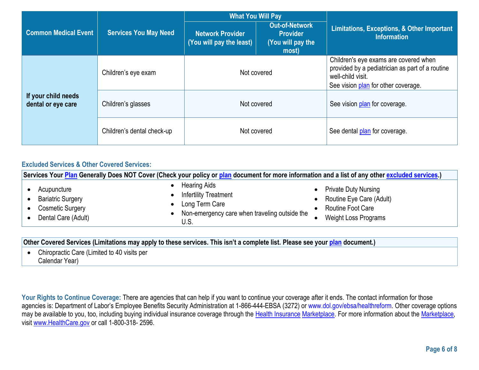|                                           |                                   | <b>What You Will Pay</b>                            |                                                                        |                                                                                                                                                      |
|-------------------------------------------|-----------------------------------|-----------------------------------------------------|------------------------------------------------------------------------|------------------------------------------------------------------------------------------------------------------------------------------------------|
| <b>Common Medical Event</b>               | <b>Services You May Need</b>      | <b>Network Provider</b><br>(You will pay the least) | <b>Out-of-Network</b><br><b>Provider</b><br>(You will pay the<br>most) | Limitations, Exceptions, & Other Important<br><b>Information</b>                                                                                     |
| If your child needs<br>dental or eye care | Children's eye exam               | Not covered                                         |                                                                        | Children's eye exams are covered when<br>provided by a pediatrician as part of a routine<br>well-child visit.<br>See vision plan for other coverage. |
|                                           | Children's glasses<br>Not covered |                                                     | See vision plan for coverage.                                          |                                                                                                                                                      |
|                                           | Children's dental check-up        |                                                     | Not covered                                                            | See dental plan for coverage.                                                                                                                        |

## **Excluded Services & Other Covered Services:**

| Services Your Plan Generally Does NOT Cover (Check your policy or plan document for more information and a list of any other excluded services.) |                                                                                                                                |                                                                                                             |  |
|--------------------------------------------------------------------------------------------------------------------------------------------------|--------------------------------------------------------------------------------------------------------------------------------|-------------------------------------------------------------------------------------------------------------|--|
| Acupuncture<br><b>Bariatric Surgery</b><br><b>Cosmetic Surgery</b><br>Dental Care (Adult)                                                        | <b>Hearing Aids</b><br><b>Infertility Treatment</b><br>Long Term Care<br>Non-emergency care when traveling outside the<br>U.S. | <b>Private Duty Nursing</b><br>Routine Eye Care (Adult)<br>Routine Foot Care<br><b>Weight Loss Programs</b> |  |

**Other Covered Services (Limitations may apply to these services. This isn't a complete list. Please see your [plan](https://www.healthcare.gov/sbc-glossary/#plan) document.)**

• Chiropractic Care (Limited to 40 visits per Calendar Year)

Your Rights to Continue Coverage: There are agencies that can help if you want to continue your coverage after it ends. The contact information for those agencies is: Department of Labor's Employee Benefits Security Administration at 1-866-444-EBSA (3272) or www.dol.gov/ebsa/healthreform. Other coverage options may be available to you, too, including buying individual insurance coverage through the [Health Insurance](https://www.healthcare.gov/sbc-glossary/#health-insurance) [Marketplace.](https://www.healthcare.gov/sbc-glossary/#marketplace) For more information about the [Marketplace,](https://www.healthcare.gov/sbc-glossary/#marketplace) visit [www.HealthCare.gov](http://www.healthcare.gov/) or call 1-800-318- 2596.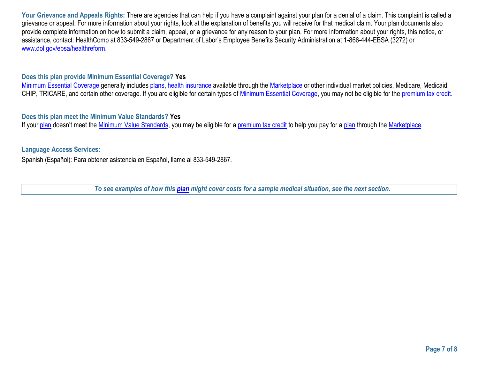Your Grievance and Appeals Rights: There are agencies that can help if you have a complaint against you[r plan f](https://www.healthcare.gov/sbc-glossary/#plan)or a denial of a [claim.](https://www.healthcare.gov/sbc-glossary/#claim) This complaint is called a [grievance o](https://www.healthcare.gov/sbc-glossary/#grievance)r [appeal.](https://www.healthcare.gov/sbc-glossary/#appeal) For more information about your rights, look at the explanation of benefits you will receive for that medical [claim.](https://www.healthcare.gov/sbc-glossary/#claim) You[r plan d](https://www.healthcare.gov/sbc-glossary/#plan)ocuments also provide complete information on how to submit a [claim,](https://www.healthcare.gov/sbc-glossary/#claim) [appeal,](https://www.healthcare.gov/sbc-glossary/#appeal) or a [grievance f](https://www.healthcare.gov/sbc-glossary/#grievance)or any reason to your [plan.](https://www.healthcare.gov/sbc-glossary/#plan) For more information about your rights, this notice, or assistance, contact: HealthComp at 833-549-2867 or Department of Labor's Employee Benefits Security Administration at 1-866-444-EBSA (3272) or [www.dol.gov/ebsa/healthreform.](http://www.dol.gov/ebsa/healthreform)

### **Does this plan provide Minimum Essential Coverage? Yes**

[Minimum Essential Coverage](https://www.healthcare.gov/sbc-glossary/#minimum-essential-coverage) generally includes [plans,](https://www.healthcare.gov/sbc-glossary/#plan) [health insurance](https://www.healthcare.gov/sbc-glossary/#health-insurance) available through the [Marketplace](https://www.healthcare.gov/sbc-glossary/#marketplace) or other individual market policies, Medicare, Medicaid, CHIP, TRICARE, and certain other coverage. If you are eligible for certain types of [Minimum Essential Coverage,](https://www.healthcare.gov/sbc-glossary/#minimum-essential-coverage) you may not be eligible for the [premium tax credit.](https://www.healthcare.gov/sbc-glossary/#premium-tax-credits)

#### **Does this plan meet the Minimum Value Standards? Yes**

If your [plan](https://www.healthcare.gov/sbc-glossary/#plan) doesn't meet the [Minimum Value Standards,](https://www.healthcare.gov/sbc-glossary/#minimum-value-standard) you may be eligible for a [premium tax credit](https://www.healthcare.gov/sbc-glossary/#premium-tax-credits) to help you pay for a plan through the [Marketplace.](https://www.healthcare.gov/sbc-glossary/#marketplace)

#### **Language Access Services:**

Spanish (Español): Para obtener asistencia en Español, llame al 833-549-2867.

*To see examples of how this [plan](https://www.healthcare.gov/sbc-glossary/#plan) might cover costs for a sample medical situation, see the next section.*